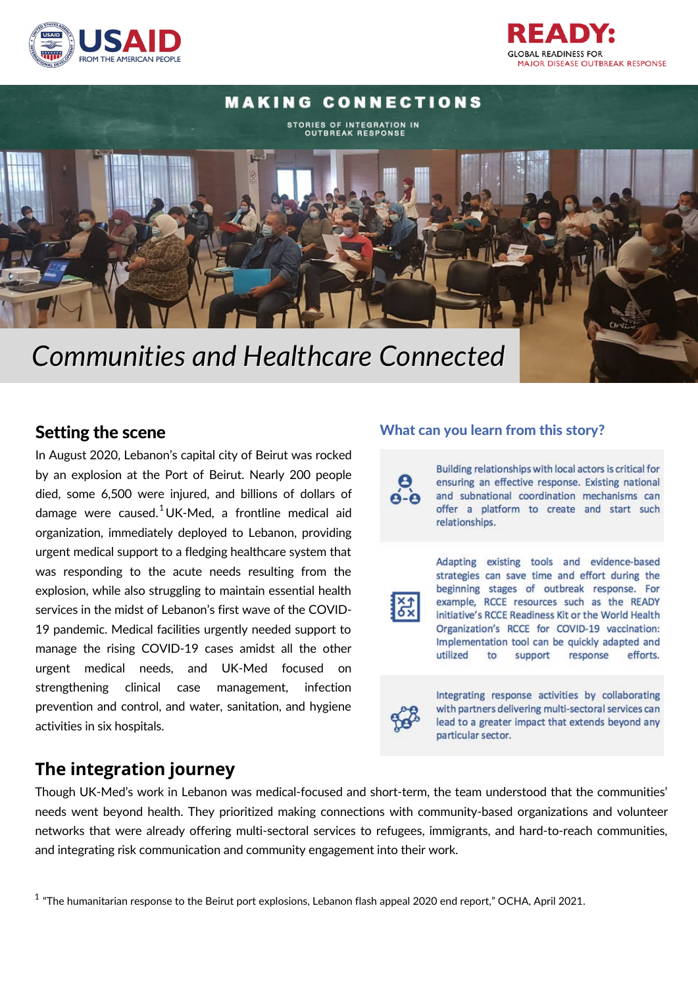

**GLOBAL READINESS FOR MAJOR DISEASE OUTBREAK RESPONSE** 

# **MAKING CONNECTIONS** STORIES OF INTEGRATION IN<br>OUTBREAK RESPONSE

# *Communities and Healthcare Connected*

### Setting the scene

In August 2020, Lebanon's capital city of Beirut was rocked by an explosion at the Port of Beirut. Nearly 200 people died, some 6,500 were injured, and billions of dollars of damage were caused. $^1$ UK-Med, a frontline medical aid organization, immediately deployed to Lebanon, providing urgent medical support to a fledging healthcare system that was responding to the acute needs resulting from the explosion, while also struggling to maintain essential health services in the midst of Lebanon's first wave of the COVID-19 pandemic. Medical facilities urgently needed support to manage the rising COVID-19 cases amidst all the other urgent medical needs, and UK-Med focused on strengthening clinical case management, infection prevention and control, and water, sanitation, and hygiene activities in six hospitals.

# **The integration journey**

### What can you learn from this story?

Building relationships with local actors is critical for ensuring an effective response. Existing national and subnational coordination mechanisms can offer a platform to create and start such relationships.



Adapting existing tools and evidence-based strategies can save time and effort during the beginning stages of outbreak response. For example, RCCE resources such as the READY initiative's RCCE Readiness Kit or the World Health Organization's RCCE for COVID-19 vaccination: Implementation tool can be quickly adapted and utilized to support response efforts.



Integrating response activities by collaborating with partners delivering multi-sectoral services can lead to a greater impact that extends beyond any particular sector.

Though UK-Med's work in Lebanon was medical-focused and short-term, the team understood that the communities' needs went beyond health. They prioritized making connections with community-based organizations and volunteer networks that were already offering multi-sectoral services to refugees, immigrants, and hard-to-reach communities, and integrating risk communication and community engagement into their work.

 $^{\rm 1}$  "The humanitarian response to the Beirut port explosions, Lebanon flash appeal 2020 end report," OCHA, April 2021.